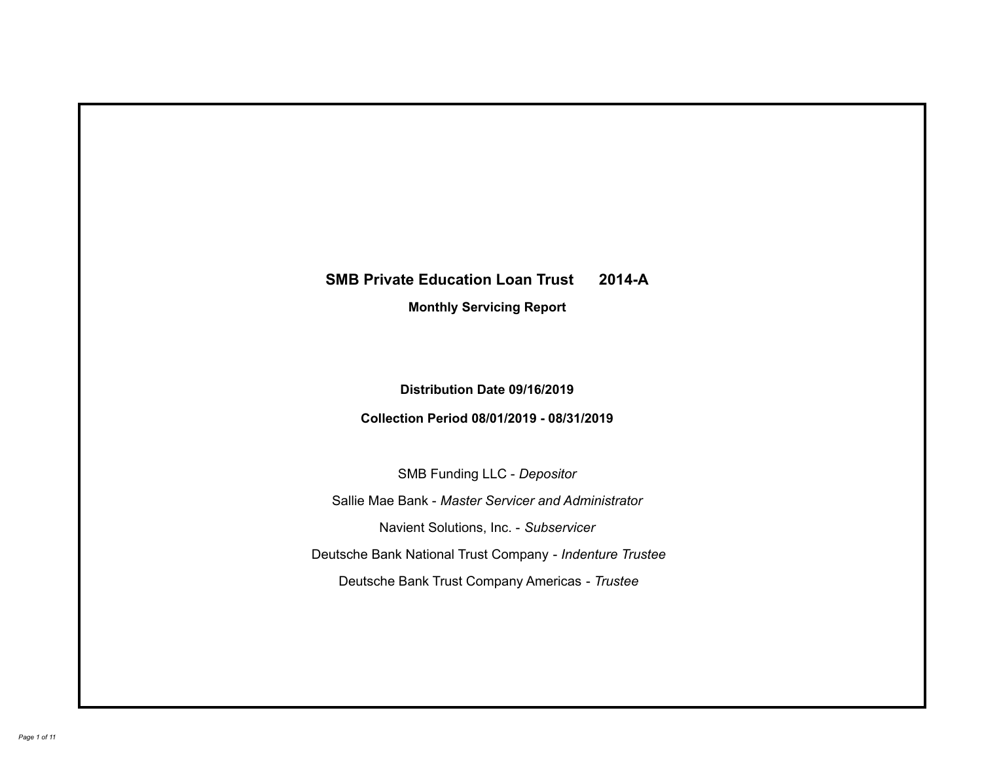# **SMB Private Education Loan Trust 2014-A Monthly Servicing Report**

# **Distribution Date 09/16/2019**

## **Collection Period 08/01/2019 - 08/31/2019**

SMB Funding LLC - *Depositor*

Sallie Mae Bank - *Master Servicer and Administrator*

Navient Solutions, Inc. - *Subservicer*

Deutsche Bank National Trust Company - *Indenture Trustee*

Deutsche Bank Trust Company Americas - *Trustee*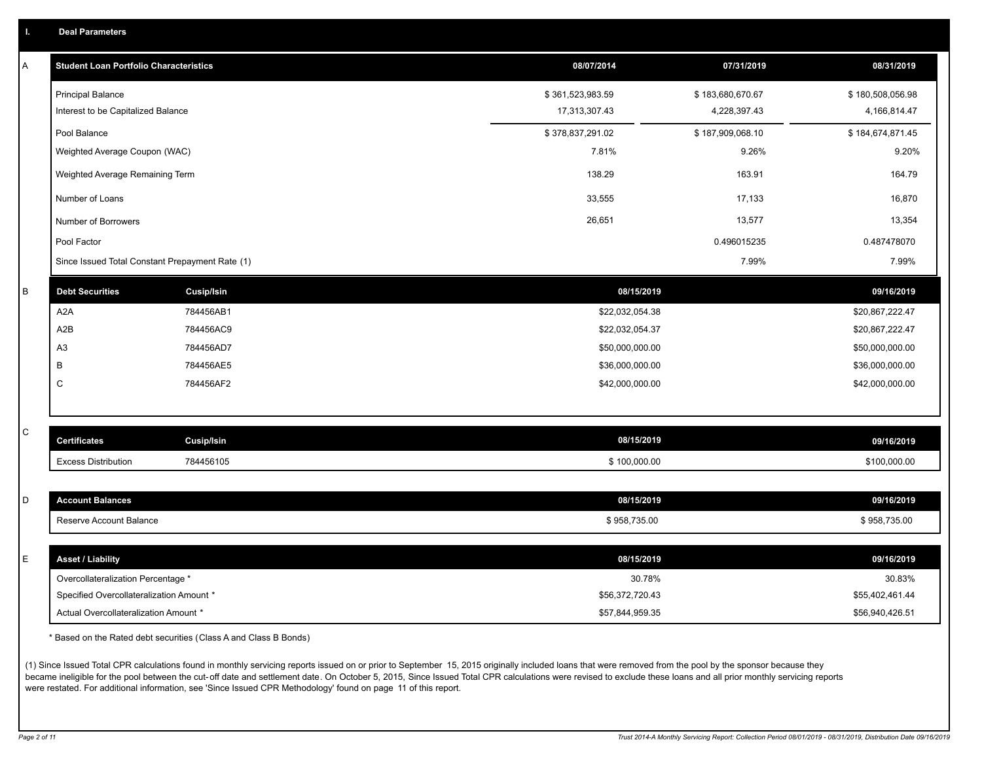| Α       | <b>Student Loan Portfolio Characteristics</b>   |                   | 08/07/2014       | 07/31/2019       | 08/31/2019       |
|---------|-------------------------------------------------|-------------------|------------------|------------------|------------------|
|         | <b>Principal Balance</b>                        |                   | \$361,523,983.59 | \$183,680,670.67 | \$180,508,056.98 |
|         | Interest to be Capitalized Balance              |                   | 17,313,307.43    | 4,228,397.43     | 4,166,814.47     |
|         | Pool Balance                                    |                   | \$378,837,291.02 | \$187,909,068.10 | \$184,674,871.45 |
|         | Weighted Average Coupon (WAC)                   |                   | 7.81%            | 9.26%            | 9.20%            |
|         | Weighted Average Remaining Term                 |                   | 138.29           | 163.91           | 164.79           |
|         | Number of Loans                                 |                   | 33,555           | 17,133           | 16,870           |
|         | Number of Borrowers                             |                   | 26,651           | 13,577           | 13,354           |
|         | Pool Factor                                     |                   |                  | 0.496015235      | 0.487478070      |
|         | Since Issued Total Constant Prepayment Rate (1) |                   |                  | 7.99%            | 7.99%            |
| $\sf B$ | <b>Debt Securities</b>                          | <b>Cusip/Isin</b> | 08/15/2019       |                  | 09/16/2019       |
|         | A <sub>2</sub> A                                | 784456AB1         | \$22,032,054.38  |                  | \$20,867,222.47  |
|         | A <sub>2</sub> B                                | 784456AC9         | \$22,032,054.37  |                  | \$20,867,222.47  |
|         | A3                                              | 784456AD7         | \$50,000,000.00  |                  | \$50,000,000.00  |
|         | B                                               | 784456AE5         | \$36,000,000.00  |                  | \$36,000,000.00  |
|         | C                                               | 784456AF2         | \$42,000,000.00  |                  | \$42,000,000.00  |
|         |                                                 |                   |                  |                  |                  |
| C       | <b>Certificates</b>                             | Cusip/Isin        | 08/15/2019       |                  | 09/16/2019       |
|         | <b>Excess Distribution</b>                      | 784456105         | \$100,000.00     |                  | \$100,000.00     |
|         |                                                 |                   |                  |                  |                  |
| D       | <b>Account Balances</b>                         |                   | 08/15/2019       |                  | 09/16/2019       |
|         | Reserve Account Balance                         |                   | \$958,735.00     |                  | \$958,735.00     |
|         |                                                 |                   |                  |                  |                  |
| E       | <b>Asset / Liability</b>                        |                   | 08/15/2019       |                  | 09/16/2019       |
|         | Overcollateralization Percentage *              |                   | 30.78%           |                  | 30.83%           |
|         | Specified Overcollateralization Amount *        |                   | \$56,372,720.43  |                  | \$55,402,461.44  |
|         | Actual Overcollateralization Amount *           |                   | \$57,844,959.35  |                  | \$56,940,426.51  |

\* Based on the Rated debt securities (Class A and Class B Bonds)

(1) Since Issued Total CPR calculations found in monthly servicing reports issued on or prior to September 15, 2015 originally included loans that were removed from the pool by the sponsor because they became ineligible for the pool between the cut-off date and settlement date. On October 5, 2015, Since Issued Total CPR calculations were revised to exclude these loans and all prior monthly servicing reports were restated. For additional information, see 'Since Issued CPR Methodology' found on page 11 of this report.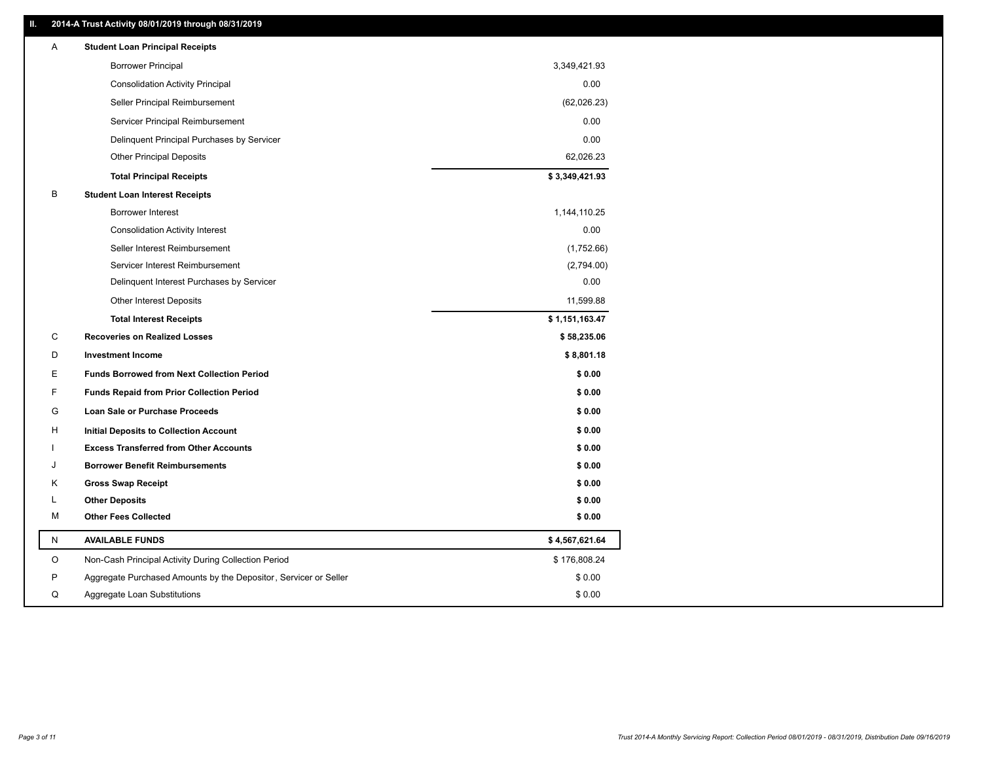### **II. 2014-A Trust Activity 08/01/2019 through 08/31/2019**

| A | <b>Student Loan Principal Receipts</b>                           |                |  |
|---|------------------------------------------------------------------|----------------|--|
|   | <b>Borrower Principal</b>                                        | 3,349,421.93   |  |
|   | <b>Consolidation Activity Principal</b>                          | 0.00           |  |
|   | Seller Principal Reimbursement                                   | (62,026.23)    |  |
|   | Servicer Principal Reimbursement                                 | 0.00           |  |
|   | Delinquent Principal Purchases by Servicer                       | 0.00           |  |
|   | <b>Other Principal Deposits</b>                                  | 62,026.23      |  |
|   | <b>Total Principal Receipts</b>                                  | \$3,349,421.93 |  |
| в | <b>Student Loan Interest Receipts</b>                            |                |  |
|   | <b>Borrower Interest</b>                                         | 1,144,110.25   |  |
|   | <b>Consolidation Activity Interest</b>                           | 0.00           |  |
|   | Seller Interest Reimbursement                                    | (1,752.66)     |  |
|   | Servicer Interest Reimbursement                                  | (2,794.00)     |  |
|   | Delinquent Interest Purchases by Servicer                        | 0.00           |  |
|   | <b>Other Interest Deposits</b>                                   | 11,599.88      |  |
|   | <b>Total Interest Receipts</b>                                   | \$1,151,163.47 |  |
| С | <b>Recoveries on Realized Losses</b>                             | \$58,235.06    |  |
| D | <b>Investment Income</b>                                         | \$8,801.18     |  |
| E | <b>Funds Borrowed from Next Collection Period</b>                | \$0.00         |  |
| F | <b>Funds Repaid from Prior Collection Period</b>                 | \$0.00         |  |
| G | Loan Sale or Purchase Proceeds                                   | \$0.00         |  |
| H | Initial Deposits to Collection Account                           | \$0.00         |  |
|   | <b>Excess Transferred from Other Accounts</b>                    | \$0.00         |  |
| J | <b>Borrower Benefit Reimbursements</b>                           | \$0.00         |  |
| Κ | <b>Gross Swap Receipt</b>                                        | \$0.00         |  |
| L | <b>Other Deposits</b>                                            | \$0.00         |  |
| м | <b>Other Fees Collected</b>                                      | \$0.00         |  |
| N | <b>AVAILABLE FUNDS</b>                                           | \$4,567,621.64 |  |
| O | Non-Cash Principal Activity During Collection Period             | \$176,808.24   |  |
| P | Aggregate Purchased Amounts by the Depositor, Servicer or Seller | \$0.00         |  |
| Q | Aggregate Loan Substitutions                                     | \$0.00         |  |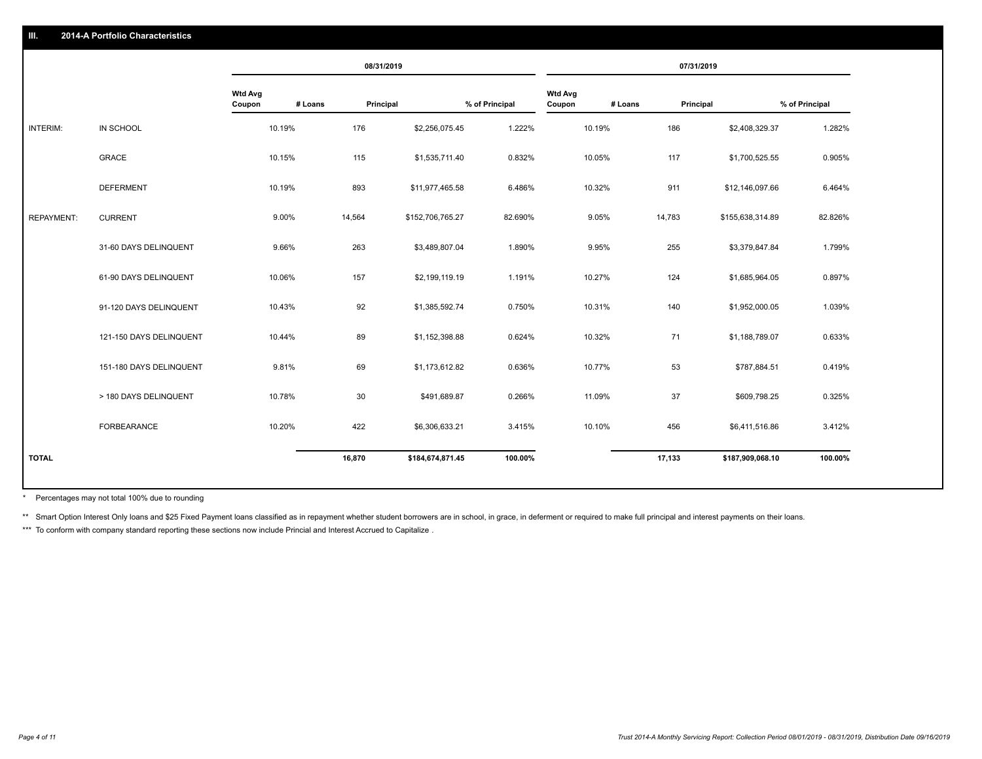|                   |                         |                          | 08/31/2019           |                  |                |                          |         | 07/31/2019         |                |
|-------------------|-------------------------|--------------------------|----------------------|------------------|----------------|--------------------------|---------|--------------------|----------------|
|                   |                         | <b>Wtd Avg</b><br>Coupon | # Loans<br>Principal |                  | % of Principal | <b>Wtd Avg</b><br>Coupon | # Loans | Principal          | % of Principal |
| INTERIM:          | IN SCHOOL               | 10.19%                   | 176                  | \$2,256,075.45   | 1.222%         | 10.19%                   | 186     | \$2,408,329.37     | 1.282%         |
|                   | <b>GRACE</b>            | 10.15%                   | 115                  | \$1,535,711.40   | 0.832%         | 10.05%                   | 117     | \$1,700,525.55     | 0.905%         |
|                   | <b>DEFERMENT</b>        | 10.19%                   | 893                  | \$11,977,465.58  | 6.486%         | 10.32%                   | 911     | \$12,146,097.66    | 6.464%         |
| <b>REPAYMENT:</b> | <b>CURRENT</b>          | 9.00%                    | 14,564               | \$152,706,765.27 | 82.690%        | 9.05%                    | 14,783  | \$155,638,314.89   | 82.826%        |
|                   | 31-60 DAYS DELINQUENT   | 9.66%                    | 263                  | \$3,489,807.04   | 1.890%         | 9.95%                    | 255     | \$3,379,847.84     | 1.799%         |
|                   | 61-90 DAYS DELINQUENT   | 10.06%                   | 157                  | \$2,199,119.19   | 1.191%         | 10.27%                   | 124     | \$1,685,964.05     | 0.897%         |
|                   | 91-120 DAYS DELINQUENT  | 10.43%                   | 92                   | \$1,385,592.74   | 0.750%         | 10.31%                   | 140     | \$1,952,000.05     | 1.039%         |
|                   | 121-150 DAYS DELINQUENT | 10.44%                   | 89                   | \$1,152,398.88   | 0.624%         | 10.32%                   | 71      | \$1,188,789.07     | 0.633%         |
|                   | 151-180 DAYS DELINQUENT | 9.81%                    | 69                   | \$1,173,612.82   | 0.636%         | 10.77%                   |         | 53<br>\$787,884.51 | 0.419%         |
|                   | > 180 DAYS DELINQUENT   | 10.78%                   | 30                   | \$491,689.87     | 0.266%         | 11.09%                   | 37      | \$609,798.25       | 0.325%         |
|                   | FORBEARANCE             | 10.20%                   | 422                  | \$6,306,633.21   | 3.415%         | 10.10%                   | 456     | \$6,411,516.86     | 3.412%         |
| <b>TOTAL</b>      |                         |                          | 16,870               | \$184,674,871.45 | 100.00%        |                          | 17,133  | \$187,909,068.10   | 100.00%        |
|                   |                         |                          |                      |                  |                |                          |         |                    |                |

Percentages may not total 100% due to rounding \*

\*\* Smart Option Interest Only loans and \$25 Fixed Payment loans classified as in repayment whether student borrowers are in school, in grace, in deferment or required to make full principal and interest payments on their l

\*\*\* To conform with company standard reporting these sections now include Princial and Interest Accrued to Capitalize.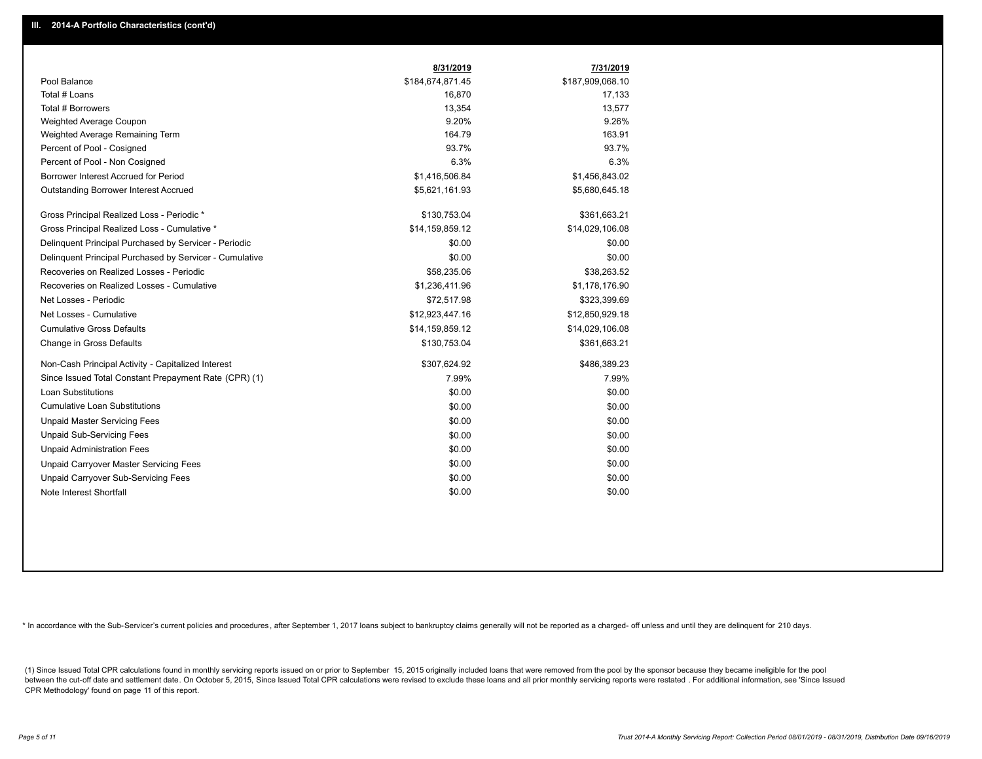|                                                         | 8/31/2019        | 7/31/2019        |
|---------------------------------------------------------|------------------|------------------|
| Pool Balance                                            | \$184,674,871.45 | \$187,909,068.10 |
| Total # Loans                                           | 16,870           | 17,133           |
| Total # Borrowers                                       | 13,354           | 13,577           |
| Weighted Average Coupon                                 | 9.20%            | 9.26%            |
| Weighted Average Remaining Term                         | 164.79           | 163.91           |
| Percent of Pool - Cosigned                              | 93.7%            | 93.7%            |
| Percent of Pool - Non Cosigned                          | 6.3%             | 6.3%             |
| Borrower Interest Accrued for Period                    | \$1,416,506.84   | \$1,456,843.02   |
| Outstanding Borrower Interest Accrued                   | \$5,621,161.93   | \$5,680,645.18   |
| Gross Principal Realized Loss - Periodic *              | \$130,753.04     | \$361,663.21     |
| Gross Principal Realized Loss - Cumulative *            | \$14,159,859.12  | \$14,029,106.08  |
| Delinquent Principal Purchased by Servicer - Periodic   | \$0.00           | \$0.00           |
| Delinquent Principal Purchased by Servicer - Cumulative | \$0.00           | \$0.00           |
| Recoveries on Realized Losses - Periodic                | \$58,235.06      | \$38,263.52      |
| Recoveries on Realized Losses - Cumulative              | \$1,236,411.96   | \$1,178,176.90   |
| Net Losses - Periodic                                   | \$72,517.98      | \$323,399.69     |
| Net Losses - Cumulative                                 | \$12,923,447.16  | \$12,850,929.18  |
| <b>Cumulative Gross Defaults</b>                        | \$14,159,859.12  | \$14,029,106.08  |
| Change in Gross Defaults                                | \$130,753.04     | \$361,663.21     |
| Non-Cash Principal Activity - Capitalized Interest      | \$307,624.92     | \$486,389.23     |
| Since Issued Total Constant Prepayment Rate (CPR) (1)   | 7.99%            | 7.99%            |
| Loan Substitutions                                      | \$0.00           | \$0.00           |
| <b>Cumulative Loan Substitutions</b>                    | \$0.00           | \$0.00           |
| <b>Unpaid Master Servicing Fees</b>                     | \$0.00           | \$0.00           |
| <b>Unpaid Sub-Servicing Fees</b>                        | \$0.00           | \$0.00           |
| <b>Unpaid Administration Fees</b>                       | \$0.00           | \$0.00           |
| Unpaid Carryover Master Servicing Fees                  | \$0.00           | \$0.00           |
| Unpaid Carryover Sub-Servicing Fees                     | \$0.00           | \$0.00           |
| Note Interest Shortfall                                 | \$0.00           | \$0.00           |

\* In accordance with the Sub-Servicer's current policies and procedures, after September 1, 2017 loans subject to bankruptcy claims generally will not be reported as a charged- off unless and until they are delinquent for

(1) Since Issued Total CPR calculations found in monthly servicing reports issued on or prior to September 15, 2015 originally included loans that were removed from the pool by the sponsor because they became ineligible fo between the cut-off date and settlement date. On October 5, 2015, Since Issued Total CPR calculations were revised to exclude these loans and all prior monthly servicing reports were restated. For additional information, s CPR Methodology' found on page 11 of this report.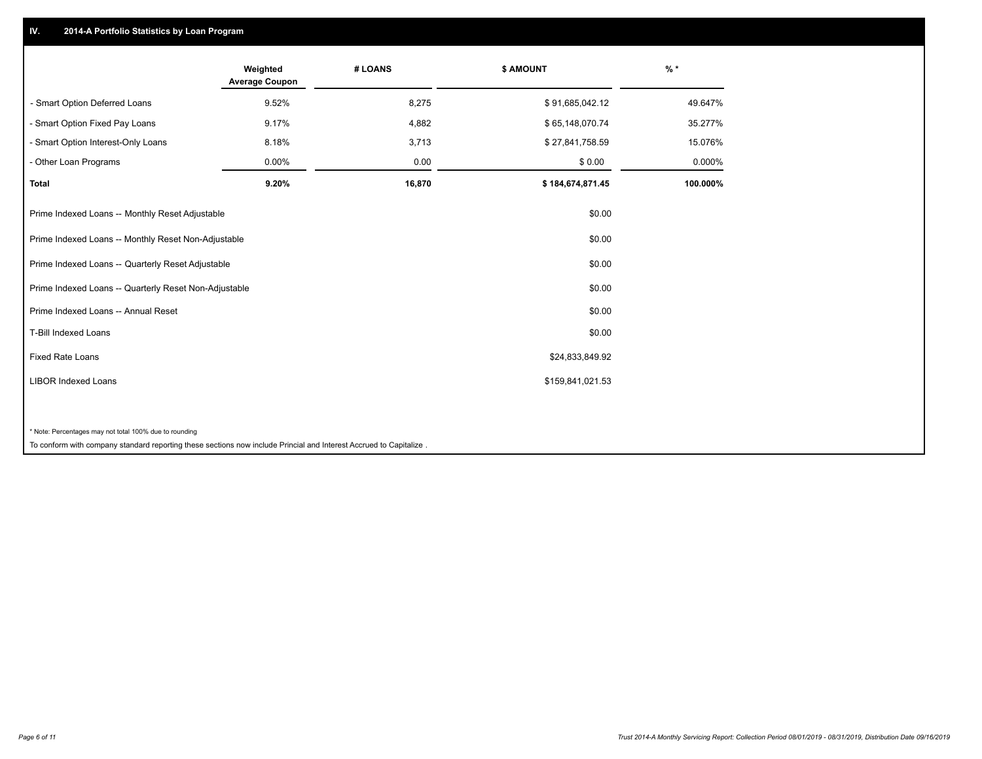## **IV. 2014-A Portfolio Statistics by Loan Program**

|                                                                                                                    | Weighted<br><b>Average Coupon</b> | # LOANS | \$ AMOUNT        | $%$ *    |
|--------------------------------------------------------------------------------------------------------------------|-----------------------------------|---------|------------------|----------|
| - Smart Option Deferred Loans                                                                                      | 9.52%                             | 8,275   | \$91,685,042.12  | 49.647%  |
| - Smart Option Fixed Pay Loans                                                                                     | 9.17%                             | 4,882   | \$65,148,070.74  | 35.277%  |
| - Smart Option Interest-Only Loans                                                                                 | 8.18%                             | 3,713   | \$27,841,758.59  | 15.076%  |
| - Other Loan Programs                                                                                              | 0.00%                             | 0.00    | \$0.00           | 0.000%   |
| <b>Total</b>                                                                                                       | 9.20%                             | 16,870  | \$184,674,871.45 | 100.000% |
| Prime Indexed Loans -- Monthly Reset Adjustable                                                                    |                                   |         | \$0.00           |          |
| Prime Indexed Loans -- Monthly Reset Non-Adjustable                                                                |                                   |         | \$0.00           |          |
| Prime Indexed Loans -- Quarterly Reset Adjustable                                                                  |                                   |         | \$0.00           |          |
| Prime Indexed Loans -- Quarterly Reset Non-Adjustable                                                              |                                   |         | \$0.00           |          |
| Prime Indexed Loans -- Annual Reset                                                                                |                                   |         | \$0.00           |          |
| T-Bill Indexed Loans                                                                                               |                                   |         | \$0.00           |          |
| <b>Fixed Rate Loans</b>                                                                                            |                                   |         | \$24,833,849.92  |          |
| <b>LIBOR Indexed Loans</b>                                                                                         |                                   |         | \$159,841,021.53 |          |
|                                                                                                                    |                                   |         |                  |          |
| * Note: Percentages may not total 100% due to rounding                                                             |                                   |         |                  |          |
| To conform with company standard reporting these sections now include Princial and Interest Accrued to Capitalize. |                                   |         |                  |          |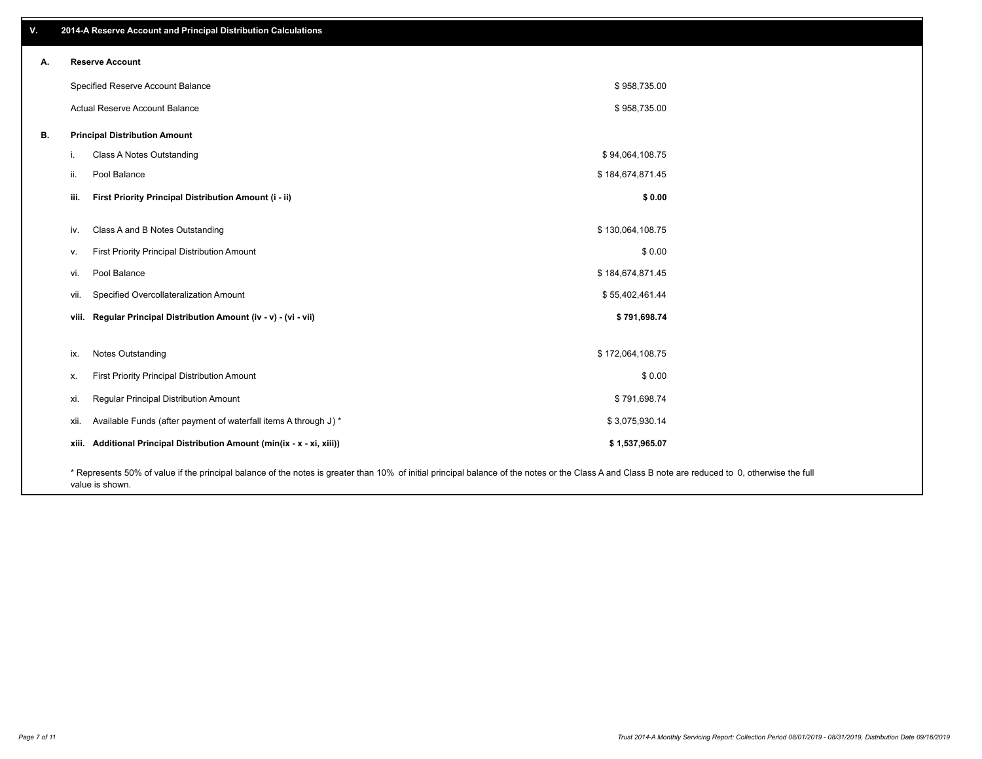| V. | 2014-A Reserve Account and Principal Distribution Calculations                                                                                                                                     |                  |  |
|----|----------------------------------------------------------------------------------------------------------------------------------------------------------------------------------------------------|------------------|--|
| А. | <b>Reserve Account</b>                                                                                                                                                                             |                  |  |
|    | Specified Reserve Account Balance                                                                                                                                                                  | \$958,735.00     |  |
|    | Actual Reserve Account Balance                                                                                                                                                                     | \$958,735.00     |  |
| В. | <b>Principal Distribution Amount</b>                                                                                                                                                               |                  |  |
|    | Class A Notes Outstanding<br>j.                                                                                                                                                                    | \$94,064,108.75  |  |
|    | Pool Balance<br>ii.                                                                                                                                                                                | \$184,674,871.45 |  |
|    | First Priority Principal Distribution Amount (i - ii)<br>iii.                                                                                                                                      | \$0.00           |  |
|    | Class A and B Notes Outstanding<br>iv.                                                                                                                                                             | \$130,064,108.75 |  |
|    | First Priority Principal Distribution Amount<br>V.                                                                                                                                                 | \$0.00           |  |
|    | Pool Balance<br>vi.                                                                                                                                                                                | \$184,674,871.45 |  |
|    | Specified Overcollateralization Amount<br>vii.                                                                                                                                                     | \$55,402,461.44  |  |
|    | viii. Regular Principal Distribution Amount (iv - v) - (vi - vii)                                                                                                                                  | \$791,698.74     |  |
|    | Notes Outstanding<br>ix.                                                                                                                                                                           | \$172,064,108.75 |  |
|    | First Priority Principal Distribution Amount<br>Х.                                                                                                                                                 | \$0.00           |  |
|    | Regular Principal Distribution Amount<br>xi.                                                                                                                                                       | \$791,698.74     |  |
|    | Available Funds (after payment of waterfall items A through J) *<br>xii.                                                                                                                           | \$3,075,930.14   |  |
|    | xiii. Additional Principal Distribution Amount (min(ix - x - xi, xiii))                                                                                                                            | \$1,537,965.07   |  |
|    | * Represents 50% of value if the principal balance of the notes is greater than 10% of initial principal balance of the notes or the Class A and Class B note are reduced to 0, otherwise the full |                  |  |

value is shown.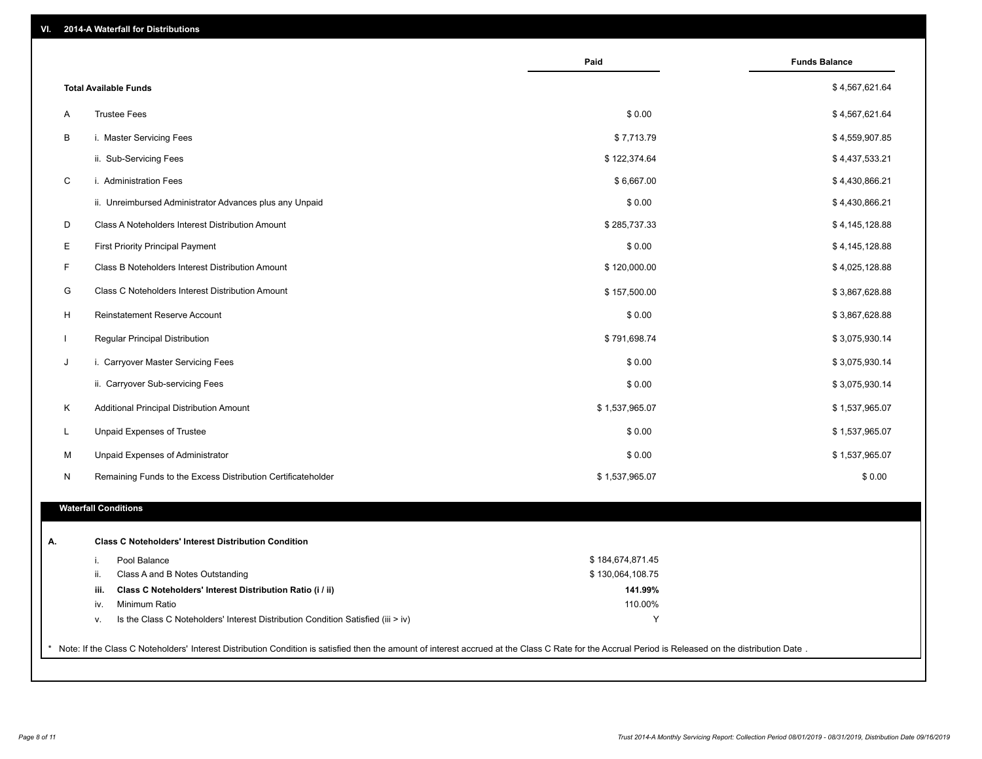|              | <b>Total Available Funds</b>                                                           |                  |                |
|--------------|----------------------------------------------------------------------------------------|------------------|----------------|
|              |                                                                                        |                  | \$4,567,621.64 |
| A            | <b>Trustee Fees</b>                                                                    | \$0.00           | \$4,567,621.64 |
| В            | i. Master Servicing Fees                                                               | \$7,713.79       | \$4,559,907.85 |
|              | ii. Sub-Servicing Fees                                                                 | \$122,374.64     | \$4,437,533.21 |
| C            | i. Administration Fees                                                                 | \$6,667.00       | \$4,430,866.21 |
|              | ii. Unreimbursed Administrator Advances plus any Unpaid                                | \$0.00           | \$4,430,866.21 |
| D            | Class A Noteholders Interest Distribution Amount                                       | \$285,737.33     | \$4,145,128.88 |
| Е            | First Priority Principal Payment                                                       | \$0.00           | \$4,145,128.88 |
| F            | Class B Noteholders Interest Distribution Amount                                       | \$120,000.00     | \$4,025,128.88 |
| G            | Class C Noteholders Interest Distribution Amount                                       | \$157,500.00     | \$3,867,628.88 |
| H            | Reinstatement Reserve Account                                                          | \$0.00           | \$3,867,628.88 |
| $\mathbf{I}$ | Regular Principal Distribution                                                         | \$791,698.74     | \$3,075,930.14 |
| J            | i. Carryover Master Servicing Fees                                                     | \$0.00           | \$3,075,930.14 |
|              | ii. Carryover Sub-servicing Fees                                                       | \$0.00           | \$3,075,930.14 |
| Κ            | Additional Principal Distribution Amount                                               | \$1,537,965.07   | \$1,537,965.07 |
| L            | Unpaid Expenses of Trustee                                                             | \$0.00           | \$1,537,965.07 |
|              |                                                                                        |                  |                |
| M            | Unpaid Expenses of Administrator                                                       | \$0.00           | \$1,537,965.07 |
| N            | Remaining Funds to the Excess Distribution Certificateholder                           | \$1,537,965.07   | \$0.00         |
|              | <b>Waterfall Conditions</b>                                                            |                  |                |
| А.           | <b>Class C Noteholders' Interest Distribution Condition</b>                            |                  |                |
|              | Pool Balance<br>i.                                                                     | \$184,674,871.45 |                |
|              | Class A and B Notes Outstanding<br>ii.                                                 | \$130,064,108.75 |                |
|              | Class C Noteholders' Interest Distribution Ratio (i / ii)<br>iii.                      | 141.99%          |                |
|              | Minimum Ratio<br>iv.                                                                   | 110.00%          |                |
|              | Is the Class C Noteholders' Interest Distribution Condition Satisfied (iii > iv)<br>v. | Y                |                |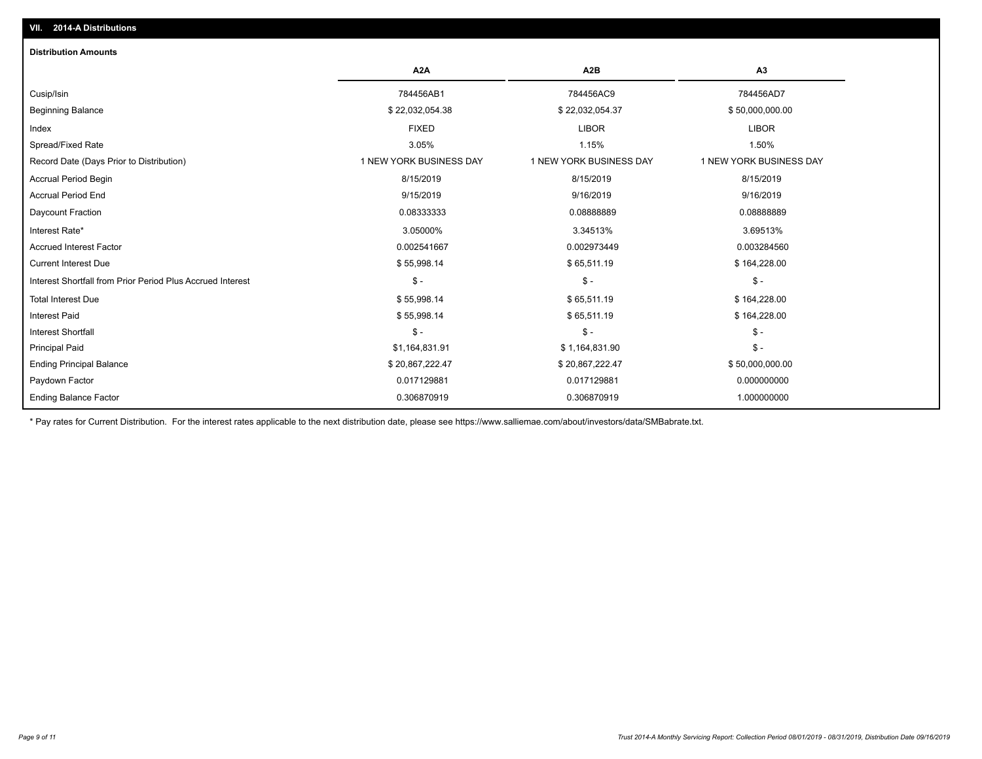| <b>Distribution Amounts</b>                                |                         |                         |                         |
|------------------------------------------------------------|-------------------------|-------------------------|-------------------------|
|                                                            | A <sub>2</sub> A        | A <sub>2</sub> B        | A3                      |
| Cusip/Isin                                                 | 784456AB1               | 784456AC9               | 784456AD7               |
| <b>Beginning Balance</b>                                   | \$22,032,054.38         | \$22,032,054.37         | \$50,000,000.00         |
| Index                                                      | <b>FIXED</b>            | <b>LIBOR</b>            | <b>LIBOR</b>            |
| Spread/Fixed Rate                                          | 3.05%                   | 1.15%                   | 1.50%                   |
| Record Date (Days Prior to Distribution)                   | 1 NEW YORK BUSINESS DAY | 1 NEW YORK BUSINESS DAY | 1 NEW YORK BUSINESS DAY |
| Accrual Period Begin                                       | 8/15/2019               | 8/15/2019               | 8/15/2019               |
| <b>Accrual Period End</b>                                  | 9/15/2019               | 9/16/2019               | 9/16/2019               |
| Daycount Fraction                                          | 0.08333333              | 0.0888889               | 0.08888889              |
| Interest Rate*                                             | 3.05000%                | 3.34513%                | 3.69513%                |
| <b>Accrued Interest Factor</b>                             | 0.002541667             | 0.002973449             | 0.003284560             |
| <b>Current Interest Due</b>                                | \$55,998.14             | \$65,511.19             | \$164,228.00            |
| Interest Shortfall from Prior Period Plus Accrued Interest | $\frac{1}{2}$           | $\mathcal{S}$ -         | $$ -$                   |
| <b>Total Interest Due</b>                                  | \$55,998.14             | \$65,511.19             | \$164,228.00            |
| <b>Interest Paid</b>                                       | \$55,998.14             | \$65,511.19             | \$164,228.00            |
| <b>Interest Shortfall</b>                                  | $\mathsf{\$}$ -         | $\mathsf{\$}$ -         | $$ -$                   |
| <b>Principal Paid</b>                                      | \$1,164,831.91          | \$1,164,831.90          | $$ -$                   |
| <b>Ending Principal Balance</b>                            | \$20,867,222.47         | \$20,867,222.47         | \$50,000,000.00         |
| Paydown Factor                                             | 0.017129881             | 0.017129881             | 0.000000000             |
| <b>Ending Balance Factor</b>                               | 0.306870919             | 0.306870919             | 1.000000000             |

\* Pay rates for Current Distribution. For the interest rates applicable to the next distribution date, please see https://www.salliemae.com/about/investors/data/SMBabrate.txt.

**VII. 2014-A Distributions**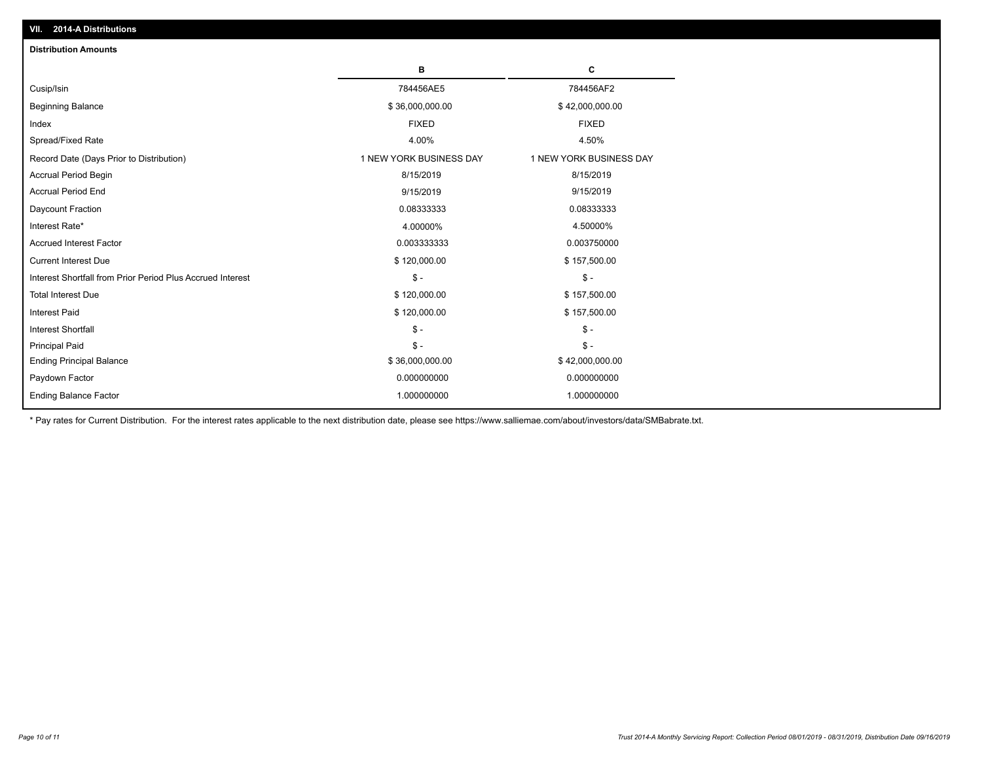| <b>Distribution Amounts</b>                                |                         |                         |
|------------------------------------------------------------|-------------------------|-------------------------|
|                                                            | в                       | C                       |
| Cusip/Isin                                                 | 784456AE5               | 784456AF2               |
| <b>Beginning Balance</b>                                   | \$36,000,000.00         | \$42,000,000.00         |
| Index                                                      | <b>FIXED</b>            | <b>FIXED</b>            |
| Spread/Fixed Rate                                          | 4.00%                   | 4.50%                   |
| Record Date (Days Prior to Distribution)                   | 1 NEW YORK BUSINESS DAY | 1 NEW YORK BUSINESS DAY |
| <b>Accrual Period Begin</b>                                | 8/15/2019               | 8/15/2019               |
| <b>Accrual Period End</b>                                  | 9/15/2019               | 9/15/2019               |
| Daycount Fraction                                          | 0.08333333              | 0.08333333              |
| Interest Rate*                                             | 4.00000%                | 4.50000%                |
| <b>Accrued Interest Factor</b>                             | 0.003333333             | 0.003750000             |
| <b>Current Interest Due</b>                                | \$120,000.00            | \$157,500.00            |
| Interest Shortfall from Prior Period Plus Accrued Interest | $\mathsf{\$}$ -         | $\frac{1}{2}$           |
| <b>Total Interest Due</b>                                  | \$120,000.00            | \$157,500.00            |
| <b>Interest Paid</b>                                       | \$120,000.00            | \$157,500.00            |
| <b>Interest Shortfall</b>                                  | $\mathsf{\$}$ -         | $\frac{1}{2}$           |
| <b>Principal Paid</b>                                      | $\mathbb{S}$ -          | $\mathsf{\$}$ -         |
| <b>Ending Principal Balance</b>                            | \$36,000,000.00         | \$42,000,000.00         |
| Paydown Factor                                             | 0.000000000             | 0.000000000             |
| <b>Ending Balance Factor</b>                               | 1.000000000             | 1.000000000             |

\* Pay rates for Current Distribution. For the interest rates applicable to the next distribution date, please see https://www.salliemae.com/about/investors/data/SMBabrate.txt.

**VII. 2014-A Distributions**